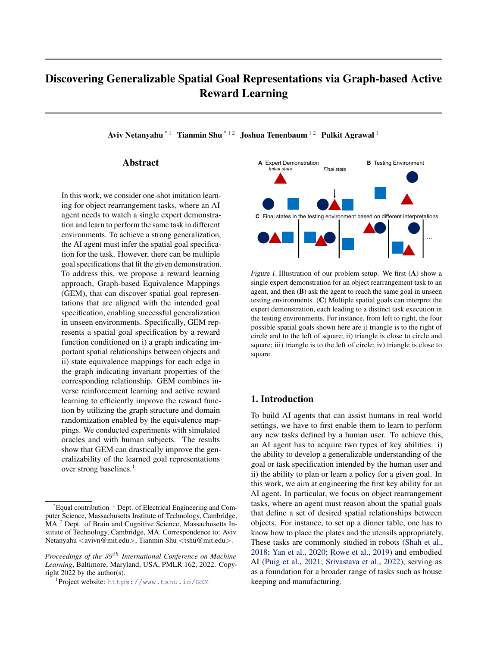# Discovering Generalizable Spatial Goal Representations via Graph-based Active Reward Learning

Aviv Netanyahu<sup>\* 1</sup> Tianmin Shu<sup>\* 12</sup> Joshua Tenenbaum<sup>12</sup> Pulkit Agrawal<sup>1</sup>

## Abstract

In this work, we consider one-shot imitation learning for object rearrangement tasks, where an AI agent needs to watch a single expert demonstration and learn to perform the same task in different environments. To achieve a strong generalization, the AI agent must infer the spatial goal specification for the task. However, there can be multiple goal specifications that fit the given demonstration. To address this, we propose a reward learning approach, Graph-based Equivalence Mappings (GEM), that can discover spatial goal representations that are aligned with the intended goal specification, enabling successful generalization in unseen environments. Specifically, GEM represents a spatial goal specification by a reward function conditioned on i) a graph indicating important spatial relationships between objects and ii) state equivalence mappings for each edge in the graph indicating invariant properties of the corresponding relationship. GEM combines inverse reinforcement learning and active reward learning to efficiently improve the reward function by utilizing the graph structure and domain randomization enabled by the equivalence mappings. We conducted experiments with simulated oracles and with human subjects. The results show that GEM can drastically improve the generalizability of the learned goal representations over strong baselines.<sup>[1](#page-0-0)</sup>



<span id="page-0-1"></span>Figure 1. Illustration of our problem setup. We first (A) show a single expert demonstration for an object rearrangement task to an agent, and then (B) ask the agent to reach the same goal in unseen testing environments. (C) Multiple spatial goals can interpret the expert demonstration, each leading to a distinct task execution in the testing environments. For instance, from left to right, the four possible spatial goals shown here are i) triangle is to the right of circle and to the left of square; ii) triangle is close to circle and square; iii) triangle is to the left of circle; iv) triangle is close to square.

## 1. Introduction

To build AI agents that can assist humans in real world settings, we have to first enable them to learn to perform any new tasks defined by a human user. To achieve this, an AI agent has to acquire two types of key abilities: i) the ability to develop a generalizable understanding of the goal or task specification intended by the human user and ii) the ability to plan or learn a policy for a given goal. In this work, we aim at engineering the first key ability for an AI agent. In particular, we focus on object rearrangement tasks, where an agent must reason about the spatial goals that define a set of desired spatial relationships between objects. For instance, to set up a dinner table, one has to know how to place the plates and the utensils appropriately. These tasks are commonly studied in robots (Shah et al., 2018; Yan et al., 2020; Rowe et al., 2019) and embodied AI (Puig et al., 2021; Srivastava et al., 2022), serving as as a foundation for a broader range of tasks such as house keeping and manufacturing.

 $E$ qual contribution  $1$  Dept. of Electrical Engineering and Computer Science, Massachusetts Institute of Technology, Cambridge, MA<sup>2</sup> Dept. of Brain and Cognitive Science, Massachusetts Institute of Technology, Cambridge, MA. Correspondence to: Aviv Netanyahu <avivn@mit.edu>, Tianmin Shu <tshu@mit.edu>.

*Proceedings of the*  $39<sup>th</sup>$  *International Conference on Machine Learning*, Baltimore, Maryland, USA, PMLR 162, 2022. Copyright 2022 by the author(s).

<span id="page-0-0"></span><sup>1</sup> Project website: <https://www.tshu.io/GEM>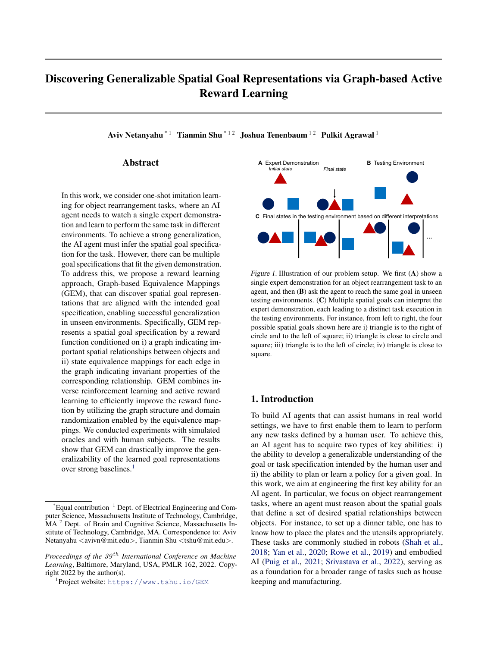

<span id="page-1-0"></span>Figure 2. (A) We use a compositional reward function,  $R$ , conditioned on a graph,  $G$ , as the spatial goal representation. (B) For each edge, we may apply certain state equivalence mappings for improving representation learning to achieve a better generalization beyond the expert demonstration. Each type of mapping indicates a type of invariance of the intended spatial relationship between a pair of objects. Thus the reward for the edge would maintain the same after applying the state mapping. Specifically, for the rotation-invariant mapping  $\phi_1$ , the relative orientation between objects can be randomized while the reward remains the same; for the scale-invariant mapping  $\phi_2$ , the change in the distance between objects does not affect the reward.

One way to train agents to perform a new object rearrangement task is to provide manual goal specification, such as detailed instructions or hand-craft reward functions. However, creating a manual definition for the goal requires expert knowledge, and inaccurate definitions may cause misspecification. Instead, our work focuses on a more general paradigm, i.e., one-shot imitation learning, where the agent watches the human user performing the task once (Figure [1](#page-0-1)A) and learns to perform the same task in unseen environments (Figure [1](#page-0-1)B).

While one-shot imitation learning is a convenient paradigm for teaching new tasks to agents, it is also extremely challenging due to the fact that there could be multiple goal specifications that explain the given expert demonstration well. For instance, consider the task illustrated in Figure [1.](#page-0-1) There are multiple interpretations of the intended goal spatial relationships based on the demonstration, each of which will lead to a different task execution in a new environment (Figure [1](#page-0-1)C). Without a correct understanding of the true goal, an agent cannot successfully perform the task.

To address this challenge, our work improves both i) the representation of spatial goal specification and ii) the acquisition of such representation that can reveal the true spatial goal.

First, we represent the intended spatial goal by a compositional reward function conditioned on a sparse graph (Figure [2](#page-1-0)A) where the graph indicates *whether* there is an important spatial relationship between a pair of objects and each edge has a reward function implicitly describing *what* the intended spatial relationship is between the corresponding pair of objects. Unlike prior work on reasoning about spatial relationships and graphical representations of goals, we do not classify a relation out of a manually defined set of predicates (e.g., close, above), but intend to discover those predicates through the graph and the reward components for the edges in the graph implicitly.

Second, we propose a novel reward learning algorithm, Graph-based Equivalence Mappings (GEM), connecting offline reward learning with active reward learning. As shown in Figure 3, GEM consists of two phases. In the initial phase (Figure 3A), we first learn a reward function conditioned on a fully connected graph from the expert demonstration using adversarial inverse reward learning (AIRL) (Fu et al., 2018) with a model-based extension, i.e., M-AIRL. This reward function is guaranteed to provide a good fit on the states in the expert demonstration, which offers us a set of good state-reward pairs as a training set. However, this set is only limited to the training situation, thus the initial reward function learned from M-AIRL may not generalize well to unseen states during test. To acquire new state-reward pairs that are not covered by the expert demonstration and improve the spatial goal representations to match with the newly acquired data, we then conduct active reward refinement (Figure 3B) following the initial training.

Prior works on active reward learning typically collect new state-reward training data purely based on the states generated in the queries shown to the oracle and the feedback received from the oracle. When faced with a large state space, this paradigm often requires a large amount of queries to acquire sufficient training data. To overcome this, we aim to augment the existing training states by randomizing each state in the existing set without changing the corresponding reward. This can be achieved by applying state equivalence mappings (Figure [2](#page-1-0)B) to edges, which is a type of state transformation that identifies equivalent states. A similar idea has been previously applied to multi-agent policy learning for improving zero-shot generalization (Hu et al., 2020). Here, each type of equivalence mapping indicates a type of invariance for the intended spatial representation between a pair of objects. Thus, when applying valid equivalence mappings, we can synthesize new state-reward pairs with known rewards without the need to acquire oracle feedback on each new state. Following this intuition, our active reward refinement iteratively proposes a new hypothesis including a new graph and new state equivalence mappings assigned to the edges in the graph, finetunes the reward function based on the new graph and the augmented training set, and generates informative queries for the oracle to verify the hypothesis. For instance, in Figure 3B, the edge between the square and the circle is removed in the new graph, while the rotation-invariant mapping is preserved for the remaining edge. Consequently, the sampled query moves the square away and rotates the triangle around the circle, so that we can verify whether the removed edge is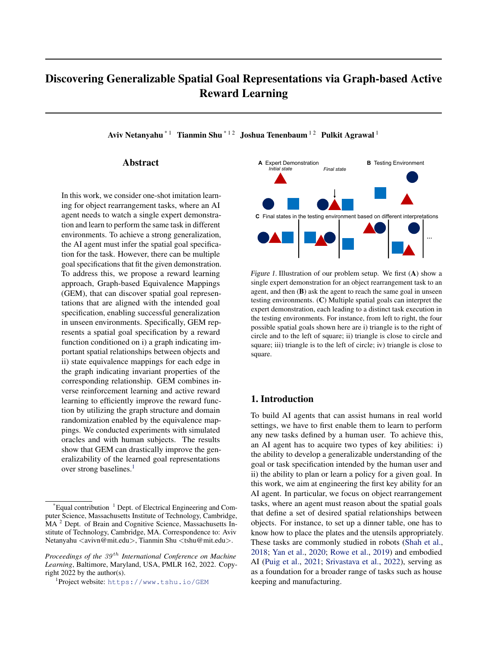Figure 3.Overview of GEM. The reward learning consists of two phases, offering a novel connection between del-based inverse reinforcement learning that predicts an initial reward abdactive reward learning. Given an expert demonstration, we rst initialize the reward function conditioned on a fully connected graph (Re.) using model-based adversarial inverse reinforcement learning (M-AIRL).  $R^0$  provides a good estimation of expert demonstration state rewards with a theoretical tness guarantee. To improve generalization beyond states in the expert demonstration, we update the reward function iteratively. At each iteration we propose a new graph or a new equivalence mapping assignment for the edges in the new graph. We then netune the reward function conditioned on the new graph using data augmented by the new equivalence mappings. To verify the tness of the proposed graph and the equivalence mappings, we generate a new goal state that can differentiate the new rew<sup>a</sup>fttom the current rewar<sup>a</sup> as an informative query for the oracle. Based on the oracle feedback (i.e., whether the new goal state is acceptable), we update the current proposal, reward function, and state accordingly. We also collect the query states as additional training data for the reward netuning at future iterations.

important and whether the rotation-invariance holds for the imited the kinds of goals a system can infer. In contrast, connected edge through this query. our approach can discover generalizable spatial goal rep-

resentations with much less restriction for the spatial goal<br>We conducted experiments with a simulated oracle and with neal estion we conducted experiments with a simulation environment, speci cation.

Watch&Move. In each task, the goal is to move the ob-Inverse reinforcement learning Most existing imitajects to satisfy spatial relationships intended by the oracletion learning approaches can be categorized into behav-We compared GEM against recent baselines for imitationoral cloning (BC) and inverse reinforcement learning (IRL) learning and active reward learning, and found that GEM Ghasemipour et al., 2020). These two types of methodolosigni cantly outperformed the baselines, both in terms of thegies provide two distinct learning objectives – BC aims to generalizability and the sample ef ciency (i.e., less oracledirectly mimic the expert policy, whereas IRL attempts to queries). recover the reward function that could produce the expert

In summary, our main contributions are: i) a generalizable policy. Intuitively, learning a reward can achieve better gen-In Summary, our main commoditors are. If a generalizable eralization in novel environments since the learned reward<br>spatial goal representation using a compositional reward institute may off the valid in the navy on ironme function conditioned on a graph and state equivalence map-<br>pince, ii) a novel reverd logming elserithm. CEM, for dia a policy inferred by demonstrations may no longer be suitpings, ii) a novel reward learning algorithm, GEM, for disprigs, if a novel reward learning algorithm, OEM, for als able when the environment distribution changes (covariate<br>covering spatial goal representations by connecting inverse it. (Chimodeire, 2000). The main abellange in covering spanar goal representations by connecting inversight) (Shimodaira, 2000). The main challenge in IRL is<br>reinforcement learning with sample-ef-cient active reward that there are unually multiple rewards that are ava learning, and iii) a new physics simulation environment, that there are usually multiple rewards that can explain the<br>Wetch 8 Mars, for evaluating and shot imitation locating expert demonstrations (Ng et al., 2000), especi Watch&Move, for evaluating one-shot imitation learning valchamove, for evaluating one-shot imitation rearring limited demonstrations. Policies learned from IRL simul-<br>approaches, with a focus on generalization. function may still be valid in the new environment, whereas that there are usually multiple rewards that can explain the

# 2. Related Work

taneously with the reward are guaranteed to only perform well on the expert distribution (Ghasemipour et al., 2020). State-only AIRL (Fu et al., 2018) is guaranteed to learn a reward disentangled from environment dynamics, but may

Goal inference. One of the key aspects of the work is to reason about the goal for a task based on the expert's plan. also suffer from covariate shift. Hence, we propose a new There has been rich history in goal inference building so-<br>sially intelligent ALsystems (Delise at al., 2017; Duis at al., I reward learning. cially intelligent AI systems (Baker et al., 2017; Puig et al., learning paradigm that extends IRL with graph-based active

2021; Netanyahu et al., 2021; Shah et al., 2018; Yan et alQne-shot imitation learning. Imitation learning has long 2020). However, prior work on goal inference typically been a subject of interest (Schaal, 1999; Nehaniv et al., assumed a limited goal space such as a set of discrete goal 02; Abbeel & Ng, 2004; Billard et al., 2004; Argall et al., (Baker et al., 2017), a nite set of predicates (Puig et al. 2009). Speci cally, there has been work on one-shot im-2021; Netanyahu et al., 2021; Shah et al., 2018), or a taitation learning (Duan et al., 2017; Bonardi et al., 2020; get location (Cao et al., 2020). These assumptions greatMuang et al., 2019; Yu et al., 2018), which often adopted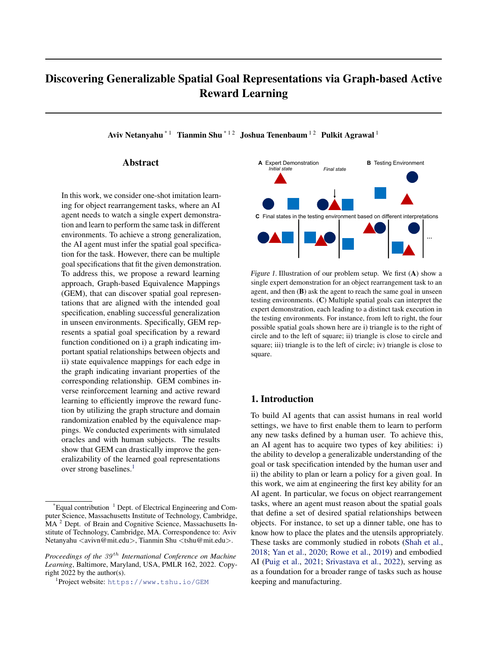a meta-learning framework, where the objective is to learmapproximate the expert policy on the given expert demonhow to learn from a single demonstration through trainingstrations  $D = f_{1}$ ; with a distribution of tasks. This can be done either througha sequence of state and action pairs in a demonstration. It meta policy learning (Finn et al., 2017) or meta rewardachieves this objective by maximizing the likelihood of oblearning (Xu et al., 2019). However, existing works focusedserving the expert demonstrations given the reward function. on tasks that have a high similarity, e.g., pushing an object strationsD = f <sub>1</sub>; ; <sub>M</sub> g, where <sub>i</sub> = f(s<sup>t</sup>; a<sup>t</sup>)g<sub>t=0</sub> is

$$
\text{maxE}_{D} \text{[logp ()]}; \qquad (1)
$$

not addressed generalizibility of the learned policies or renot addressed generalizibility of the learned policies or re-<br>ward functions to unseen environments. There are two mail herep () / p(s<sub>0</sub>)  $\frac{Q_T}{t=0}$  p(s<sup>t+1</sup> js<sup>t</sup>; a<sup>t</sup>)e <sup>tr (st</sup>ia<sup>t</sup>) is the challenges for achieving a strong generalization in one-shot kelihood of the demonstrations given the reward function. imitation learning: it is hard i) to learn to reach a given goal AIRL formulates this optimization as adversarial training, in unseen environments and ii) to infer the true goal from a<sup>where</sup> it learns to approximate the advantage function for single demonstration. In this work, we focus on the secondhe expert policy through a discriminator. The discriminator challenge, with the assumption of having access to a worlelistinguishes between generated trajectories from a learned model and a planner that can reach any physically plausibleolicy (ajs) (as fake examples) and the expert demonsragoal state. We believe this is a rst step towards engineeringions (as real examples):

a generalizable one-shot imitation learning system.

Policy/reward learning from human feedback. In addi-

to different locations (Finn et al., 2017). They have also

D<sub>;1</sub> (s; a; s<sup>0</sup>) = 
$$
\frac{\exp(f_{;1}(s; a; s^{0})g)}{\exp(f_{;1}(s; a; s^{0})g + (a|s))}
$$
; (2)

tion to learning from demonstrations, prior work has alsowheref  $_{;!}$  is the advantage function consisting of an approposed methods for learning policies (Ross et al., 201 proximated reward functiog as well as a shaping function Grif th et al., 2013; Loftin et al., 2014; MacGlashan et al.,  $h_!$ :

2017; Arumugam et al., 2019; Wang et al., 2022) or reward functions (Daniel et al., 2014; 2015; Su et al., 2016 When the reward function only depends on state IRL B y k et al., 2019; Cui & Niekum, 2018; Brown et al., 2019; can guarantee that the learned reward functional the Reddy et al., 2020) from human feedback. This can be an improved that the contract contract managements are achieved through queries that ask for human preferences and functionr and the ground-truth value function (s) (Christiano et al., 2017; Brown et al., 2019) or a direct eval-(Crinsuano et al., 2017, Brown et al., 2019) or a difect evai-<sub>up to</sub> a constant respectively. However, the learned reward<br>uation (reward) on states (Ross et al., 2011; Reddy et almay not generalize well to states differen 2020). Inspired by this, our approach also uses an active rehown in the expert demonstrations.  $f_{;!} = g(s;a) + h_{!}(s^0) - h_{!}(s)$ : (3) may not generalize well to states different from the ones

ward learning scheme to improve the reward function from

oracle feedback. However, when the state and action spaces 3.2. Model-based AIRL

are large, it is dif cult to obtain suf cient amount of data

from a small number of queries. In this work, we aim to The original AIRL uses a model-free RL training, which address this by better utilizing the limited queries and oracles often dif cult in tasks with large state and action spaces feedback. Speci cally, instead of only generating trajec-(such as the multi-object rearrangement tasks studied in this tories or states for the queries, we propose generalizableork). To address this issue there has been work on modelgoal representations and verify them through smart querbased AIRL (Sun et al., 2021). Similarly, we propose a generation. simple model-based extension given a world models; a)

## 3. Preliminaries

learned or given by a simulator. The idea is to utilize the shaping function  $(s)$  in Eq.  $(3)$ , which is quaranteed to approximate the ground-truth value function in the demon-

Our initial learning phase adopts adversarial inverse reinstrations, combined with one-step-ahead state predication forcement learning (AIRL) (Fu et al., 2018), which was to de ne the policy in Eq. (2) instead of learning a policy proposed to achieve robust reward generalization for unusing model-free RL:

seen dynamics. We brie y introduce AIRL and present a model-based extension to the original AIRL below.

### 3.1. Adversarial Inverse Reinforcement Learning

IRL considers an MDP process;  $A$ ;  $T$ ;  $r$ ; ;  $\theta$ i. S is the state space, is the action space,  $(ja; s)$  is the state transition distribution,r(s; a) is the reward function, is the discount factor, and<sub>0</sub> is the initial state distribution. The goal of IRL is to learn a reward function  $(s; a)$  that can

$$
(ajs) = P \frac{expf}{a^{0}2A} \frac{P}{expf} \frac{sp(s^{0}ja; s)h(s^{0})g}{s^{0}p(s^{0}ja^{0}; s)h(s^{0})g};
$$
 (4)

where is a constant coef cient.

## 4. Graph-based Equivalence Mappings

As a representation of a spatial goal, a reward function can adequately describe the tness of a spatial con guration w.r.t. any intended goal spatial relationships including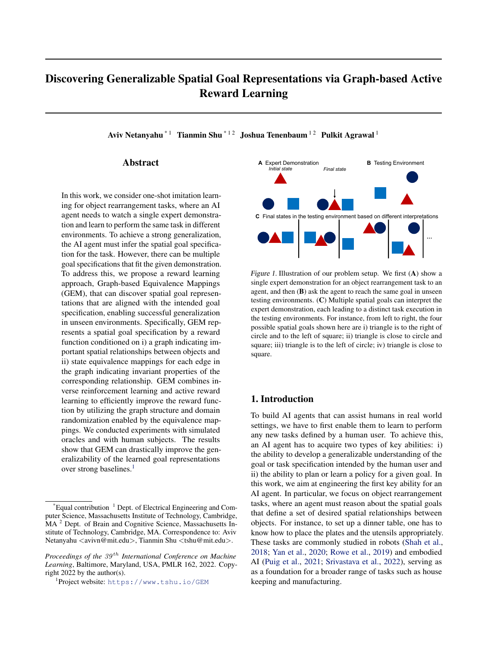both logical and continuous relationships. When learned mapping, we may randomize the invariance aspect of the properly, the trained reward function also enables a gerstate to sample a new state. For instance, for applying the eralization of the corresponding goal in unseen physicatotation-invariant mapping once, we randomize the relative environments, avoiding over-imitation, unlike direct policy orientation between the two objects for the state transformaimitation. However, without a diverse set of demonstrationstion. Please refer to Appendix A.1 for more details. multiple reward functions may perfectly t the expert trajec-

tories, and it is impossible to disambiguate the true reward solely based on the given demonstration. To solve this, we propose a novel active reward learning approach, Graphbased Equivalence Mappings (GEM) that learns a compo<sub>7</sub> sitional reward function conditioned on a sparse graph and state equivalence mappings (Figure 2). As illustrated in Figure 3, GEM consists of two learning phases, combining both model-based inverse RL and active reward learning. Starting from the initial reward function that has a theoretical We denote the mappings assignment for all the edges in a  $\mathtt{\hat{g}}$ raph a $\mathtt{sI}\ =\ \mathtt{f}\,$   $_{\mathsf{i,j;k}\,}$   $\mathtt{g}_{\mathsf{(i;j)}$   $_{2\, \mathsf{E};k\, 2\, \mathsf{K}} }$  , where  $_{\mathsf{i,j;k}\,}$  is a binary  $\breve{\text{w}}$ ariable indicating whether $_{\mathsf{k}}$  can be applied to edg $\dot{\text{e}}$  j ). The state mapping for the whole graph is then de-ned as  $\chi$  s; I ), where it recursively applies mappings assigned to each edge. Note that we transform the state for each edge independently so that the transformation of one edge will not affect the state of other edges that share a common node with this edge. For more details, please refer to Appendix A.1.

-tness guarantee limited to the expert demonstration, GEM In this work, we consider two types of mappings illustrated iteratively re nes the reward function through proposed newin Figure  $\bf B$  as a gentle inductive bias provided by domain graphs and state equivalence mappings and veri es the neknowledge, but other types of mappings can also be applireward function via informative queries for an oracle. In cable for different domains. Critically, we only provide a this section, we rst introduce our compositional reward set of candidate mappings but do not assume to have the function and then present the two-phase learning algorithmknowledge of which mappings can be applied to a speci c

## 4.1. Compositional Reward Function as a Spatial Goal Representation

We represent each state  $\mathbf{a}$   $\left( x_i \right)_{i \geq N}$ , whereN is a set of objects and i is the state of objedt. We indicate  $G = (N, E)$ , where each edge; j 2 E shows that the spatial relationship between object and object is part of

spatial relationship, unlike (Hu et al., 2020). We instead learn to assign valid mappings to each edge through active reward learning.

the important spatial relationships for a task by a graph,queries, creating an in nite number of states that have equiv-These equivalence mappings allow us to augment the states from the expert demonstration and those acquired through alent spatial relationships.

the goal speci cation. Here, we focus on pairwise spatial4.2. Two-Phase Reward Learning relationships, but it is possible to extend this to higher-order<br>relationships, As shown in Figure 2 sives the spank and 4.2.1. NITIAL REWARD LEARNING relationships. As shown in FigureA2 given the graph and

the state, we de ne a compositional reward function as aGiven the expert demonstration we rst use M-AIRL spatial goal representation to implicitly describe the goaldescribed in Section 3 to train an initial reward function spatial relationships for a task:

$$
R(s; G) = \frac{1}{jEj} \bigg|_{(i;j) 2E}^{X} r(x_i; x_j): \tag{5}
$$

 $R^0$ (s; G<sup>0</sup>; 0) conditioned on a fully connected graph, where  $0$  are the parameters of the initial reward function. This initial reward function provides a good reward approximation for all the states in, approaching the ground-truth with a constant offset.

Spatial relationships may have certain invariance properties. 2.2. ACTIVE REWARD REFINEMENT For instance, relationships describing the desired distance

between two objects are invariant to the rotation applied to o improve the generalization of the initial reward function this pair of objects. By utilizing correct invariance prop- to states beyond expert states, we then aim to discover a erties, we can transform a state seen in the training env@raph structureG, and equivalence mapping assignment ronment to a new state that has the same reward, as théyr the edges in the graph, through active learning, and represent the same spatial relationship. Essentially thise ne the reward function based on the inferred graph and process augments the data by domain randomization (Tthe equivalence mappings.

bin et al., 2017). To model different invariance properties The active reward re nement is outlined in Algorithm 1. we introduce a set of possible state equivalence mappings of the reward re-nement, we consider three training sets, f  $k g_{k2K}$  as shown in Figure $\mathbb{B}$ , where each type of mapping  $k$  can transform the states of a pair of objects,  $k$ ,  $\mu$  and ensures that the reward component for that edge does eiting  $\sin R^0$ ,  $S_D = f(s^t; r^t = R^0(s^t)G^0; 0)$   $g_{t=0}^T$ , (2) a<br>and ensures that the reward component for that edge does eiting state set initialized with the n not change, i.er,(x<sub>i</sub>; x<sub>j</sub>) = r(  $_{k}(x_{i};x_{j})$ ). When applying (1) all states in the expert demonstrations and their rewards based or R<sup>0</sup>, S<sub>D</sub> = f(s<sup>t</sup>; r<sup>t</sup> = R<sup>0</sup>(s<sup>t</sup>jG<sup>0</sup>; <sup>0</sup>))g<sub>t</sub>  $\bar{p}$  bsitive state set initialized with the  $\,$  nal state of the expert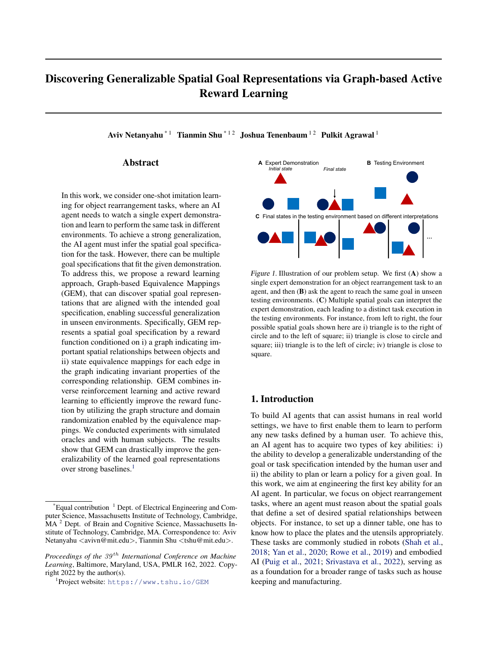Algorithm 1 Active Reward Re nement

Input:  $G_0$ ,  $I_0$ ,  $R_0$ ,  $S_D$ ,  $L_{max}$  $S_{+}$  f  $s^{T}g$ ,  $S$  ; , l $_{0}$  ; First reach the nal state of the expert demonstration, denoted a $\mathbf{s}^0_{\mathrm{q}}$ for  $i = 1$  to  $L_{max}$  do  $G^0$ ; I  $^0$  $, I^0$  Q(G<sup>i</sup>; I<sup>i</sup>jG<sup>i 1</sup>; I<sup>i</sup>) Train  $0$  based on Eq. (7) Sample a new query state based on Eq. (8) Reachs $^0_q$  and get oracle feedback  $if \ o = \ acceptable$  $G^1$   $G^0$ ,  $I^1$   $I^0$ ,  $s_q^1$   $s_q^0$ ,  $I^0$   $s_q^0$  $S_+$   $S_+$  [f  $s_q^0 g$ ,  $S_p$   $(s_q^0; r^T)$ else  $G^1$   $G^{1}$  1,  $I^1$  1  $1^1$  1,  $s_q^1$   $s_q^1$ ,  $l - 1$ S  $S$  [f  $s_q^0g$ Move objects back to  $1$ <sup>1</sup> end if end for

demonstrationS<sub>+</sub>, and (3) a negative state s&, By querying, we collect more states for the positive set and the querying, we collect more states for the positive set and the 1 and is a constant coef cient.<br>negative set based on the oracle judgment. We know the

corresponding reward of the state  $S_{\text{D}}$  based or R<sub>0</sub>, and assume that rewards for state S<sub>tn</sub> have higher rewards than any state  $i\mathbf{S}$ .

The main purpose of the quenes is to the equivalently good new querys, We also assume that has a similar reward<br>goal states that are visually different from the goal states the nal demonstration state. These can also be a shown in the expert demonstration. To this end, at the start of the active learning phase, we rst reach the nal state of the expert demonstration. We can achieve this by applying the learned approximated value function (the policy is de-ned proposal and the corresponding reward function, move back in Eq. (4)).

At each iteration, we rst propose a new grap $6^0$  and a new equivalence mapping assignmerbased on a proposal this proposal distribution in Appendix A.2. We then netune a certain amount of iterations.

the reward function conditioned on the proposal to obtain After the two learning phases, we apply the learned reward new parameters<sup>0</sup>, which de nes a new reward function R(sjG<sup>0</sup>, <sup>0</sup>). To do that, we use two types of optimization. In the the rest environments by sampling a goal state<br>First is appeal as exercise has also the otate and assumed as based on the reward function. Since we prefe First is reward regression based on the state and reward pairs<br>(such a Superior sparsest graphs accepted in the recent iter-(s; r) 2  $S_D$  . Since we obtained equivalence states from the  $\frac{1}{2}$ ,  $\frac{1}{2}$  S<sub>D</sub>. Since we obtained equivalence states nonruleations. When there are multiple accepted graphs with the proposed mappings, the reward function can be optimized  $\frac{1}{2}$ so that for each state in  $S_D$ , all of its equivalent states will have the same reward asitself. We formally de ne a regression loss as follows

s 2 S . This gives us the second loss:

L( ) rank = Es<sup>+</sup> <sup>S</sup><sup>+</sup> ;s <sup>S</sup> [j(R(( s ; I <sup>0</sup> )jG 0 ; ) R(( s<sup>+</sup> ; I <sup>0</sup> )jG 0 ; )j<sup>+</sup> ]:

We then combine these two loss functions to update the parameters of the reward function:

$$
^{0} = \arg \min L( )_{reg} + L( )_{rank}.
$$
 (7)

Based on the new reward, we generate a query to re ect the change in the hypothesis and in the corresponding reward function. The query is a goal stats sampled starting from the current state (i. $\mathbf{e}_{q}^{l-1}$ ). Intuitively, this new state should have a high reward based on the new reward function but a low reward based on the previous reward function at iterationl 1. Formally,  $s_q^0$  is sampled by

$$
s_q^0 = \underset{s2N}{\text{arg max}} R(sjG^0, 0) \quad R(sjG^{1/1}; 1/1); \quad (8)
$$

whereN (s $_{\mathrm{q}}^{l-1}$ ) is the set of all reachable states starting from

After reaching the new query stat& we query for oracle feedback by asking  $\mathbf{\dot{g}}_{\text{q}}^{\text{I}}$  is an acceptable state that satis es the goal. If acceptable, we then accept the new proposal as

well as the new reward function, and augm8ntwith the<br>The main purpose of the queries is to nd equivalently good new guange, M/o also assume the headed imilar rewar new querys $_{0}^{0}$ . We also assume that ູ້ຊs the nal demonstration state. Th**ິລ**s can also be augmented with( $s_q^0$ ; r<sup>T</sup>), wherer<sup>T</sup> is the reward of the nal demonstration state according to the initial reward function. If the oracle feedback is negative, then we reject the new

distributionQ(G<sup>0</sup>, I <sup>0</sup>jG<sup>| 1</sup>; I<sup>1</sup>). We describe the design of the process when no sparser graphs have been accepted for to the last accepted state (i. $\mathbf{s}^\text{l}_\text{q}$ ,  $^1$ ), and augmen $\mathbf{s}_\text{}$  with  $\mathsf{s}_{\mathsf{q}}^0$ . We repeat this process until reaching the maximum number of iterations  $L_{\text{max}}$ . Alternatively, we can also terminate

> function to the test environments by sampling a goal state same number of edges, we use the one that has the most mappings assigned to its edges.

## 5. Experiments

L( )<sub>reg</sub> = E<sub>(s;r)</sub> s<sub>p</sub> [(R( ( s; l<sup>0</sup>)jG<sup>0</sup>, ) r)<sup>2</sup> ]: (6)

5.1. Watch&Move Environment

The second type of optimization is reward ranking. SpecifWe propose a one-shot imitation learning environment, ically, we optimize the reward function so that the reward Watch&Move. Inspired by recent machine learning benchof a states<sub>+</sub> 2 S<sub>+</sub> is higher than the reward of any state marks based on 2D physics engines (Lowe et al., 2017;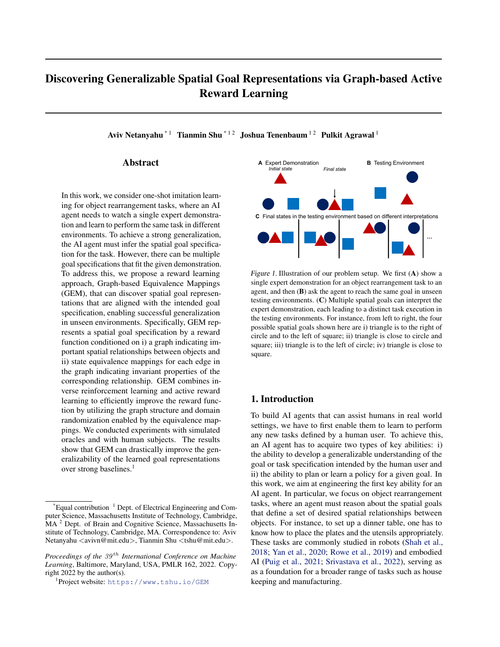Figure 4.Example Watch&Move tasks. For each task, we create an expert demonstration that moves objects to a state that satis es the goal and provide a test environment that is different from the initial state in the expert demonstration. The edges visualize the relationships that are part of the goal de nition; they are not present in the expert demonstration and are thus unknown to the agent. We also show the goal for each task. The distance in Watch&Move is measured in units. As a reference, the radius of the circle is 0.8 units. The exact de-nitions of the goal relationships are summarized in Table 1 (Appendix A.6).

Bakhtin et al., 2019; Allen et al., 2020; Netanyahu et al.minimizing the previous reward for the query generation, ii) 2021), we create a 2D physics simulation for Watch&Move, GEM with a fully connected graph (no new graph proposals), where objects can be moved w.r.t. physics dynamics and i) GEM without applying any equivalence mappings, and constraints. This simulation environment provides an abiv) GEM trained with randomly generated queries. During straction of real world object rearrangement tåsks testing, given the reward function learned by each method,

we sample a goal state by maximizing the reward and min-<br>We design 9 object rearrangement tasks in the Watch&Movenizing the displacement. We then avaluate compled secl Incording the object realitally enternation in the Waterlands Tmizing the displacement. We then evaluate sampled goal<br>Environment (Figure 4 shows 3 example tasks). Each task ates begad using our reward metric de ned in Sec consists of an expert demonstration and a new testing envi-<br>represent. The scale of the prepagad toolse cover a repeal Finally, we provide an oracle performance based on the ronment. The goals of the proposed tasks cover a range of objects relationships that are common in the real world as well as in the prior work on object rearrangement tasks (as states based using our reward metric de ned in Section 5.1. optimal goal states generated by the oracle in the testing environments.

summarized in Table 1).

## A successful performance in the testing environment in

### 5.3. Results with a Simulated Oracle

spatial relationships for the tasks (we visualize the inferred graphs and equivalence mapping assignment, and example

Watch&Move requires an agent to rearrange the objects of rst conducted an evaluation on 8 Watch&Move tasks to satisfy all spatial goal relationships while minimizing with a simulated oracle that gives feedback for a query the overall change in the environment. This requires that all on whether the state in the query satis es the goal the agent correctly identify the necessary relationships for nition. We report the reward obtained in the testing each task. We use a reward function to measure the task in the task of models trained with different methods completion and the displacement of all objects  $\frac{1}{2}$ .  $1(s^{\mathsf{T}} \text{ satis} \text{ es the goal } 0.02^{\mathsf{T}} \text{ }_{i2N} \text{ } jjx_i^0 \text{ } x_i^{\mathsf{T}} \text{ } jj_2 \text{, where}$  $x_i^0$  and $x_i^\mathsf{T}$  are the rst and last states of objecth a testing episode respectively, ard is the overall nal state in the testing episode. Please refer to Appendix A.6 for more function was greatly improved. We also found that the details about the tasks and the environment. with different numbers of queries in Figure 5. The results show that the initial reward trained by M-AIRL failed to reach the goal in the tesing environment. However, with the active reward re nement enabled by GEM, the reward graphs and the equivalence mapping assignments inferred by GEM provided meaningful representations of the intended

### 5.2. Baselines and Ablations

We compare GEM with M-AIRL (i.e., the initial reward queries in Appendix B). In comparison, ReQueST and the learning alone) and with ReQueST (Reddy et al., 2020);andom query variant failed to learn a generalizable reward a recent active reward learning approach that estimatesfanction for all tasks. Other ablated variants could achieve reward that can generalize to environments with differensuccess in some tasks but not in all 8 tasks, which veri ed initial state distributions. For a fair comparison, we use the importance of i) minimizing the previous reward for the same graph-based reward function for ReQueST antthe query sampling and ii) the joint inference of the graph initialize the reward for using the expert demonstration. For structure and the equivalence mapping assignment.details, please refer to Appendix A.7. For the ablated study,

we also evaluate variants of GEM, including i) GEM without

<sup>&</sup>lt;sup>2</sup>We illustrate this in Appendix B.1.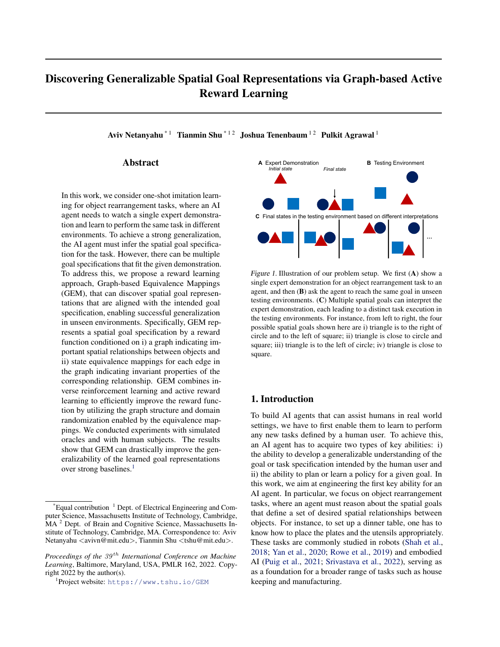Figure 5.Testing performance of different methods trained with a simulated oracle on 8 Watch&Move tasks (Task 1 to 8). We plot the reward metric in the testing environment using the learned model as a function of the number of queries. The dashed line indicates the reward for an optimal plan generated by the oracle. Note here the M-AIRL baseline provides the initial rewards for GEM and all of its variants and is not updated with the queries. We ran each method using three random seeds and show the standard errors as the shaded areas.

> truth goal of Task 9 (see Figure 6). Each participant interacted with GEM and ReQueST once, and provided feedback for 30 queries for each algorithm. Each GEM query took about1 minute due to training. We plot the rewards in the testing environment in Figure 6, which demonstrates that the reward function trained by GEM reaches a good performance in the new environment within 30 iterations, signi cantly outperforming the reward function trained by ReQueST. GEM also correctly inferred the necessary edge (the pair of circles) and its corresponding invariance type (rotation-invariant).

Figure 6.(A) Illustration of Task 9 used in the human experiment. 6. Conclusion (B) Testing performance of GEM and ReQueST trained with three human oracles for Task 9. The dashed line indicates the reward/e have proposed a reward learning algorithm, GEM, for for an optimal plan generated by the oracle in the test environmenperforming one-shot generalization for an object rearrange-The shaded areas indicate the standard errors. ment task. In GEM, spatial goal relationships are represented by a graph-based reward function and state equivalence mappings assigned to the edges in the graph. GEM infers the graph structure and the equivalence mapping assign-

## 5.4. Human Experiment

ment by combing an initial reward learning using inverse<br>To evaluate how well GEM can work with real human ora-reinfercement learning and a semple of cient estive reward cles, we conducted a human experiment on Task 9, where negotial carring and a sample of clerk active reward.<br>It is a servited three human portionants as exactes. The night nement. For evaluation, we designed a 2D physics s we recruited three human participants as oracles. The par-noment, we wandation, we accident a 2D physics similar the studies of the studies of the participants as oracles. The participant environment, Watch&Move, and compa ticipants gave their consent and the study was approved by against strong baselines on multiple tasks. We also conan institutional review board. reinforcement learning and a sample ef cient active reward ducted a human experiment to verify whether GEM can

At each trial, a participant was instructed to verify whetherwork with humans. The experimental results show that a query state generated by an AI agent satis ed the grounGEM was able to discover meaningful spatial goal represen-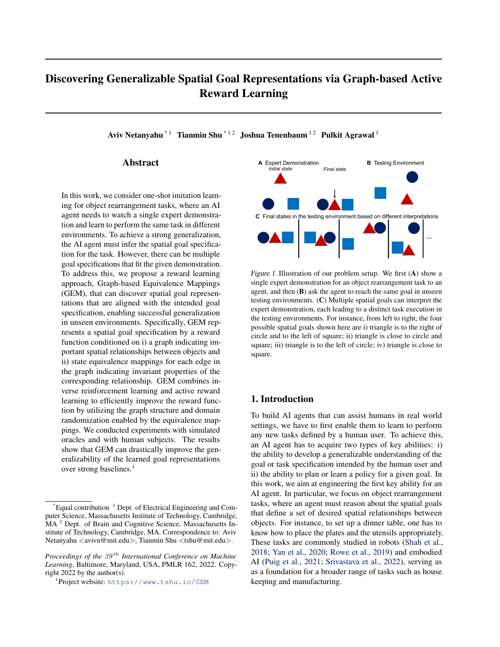tations. It signi cantly outperformed baselines, achieving a better generalization in unseen testing environments as well 2004.

as a greater sample ef ciency. We believe that GEM is a Allen, K. R., Smith, K. A., and Tenenbaum, J. B. Rapid trialstep towards solving the extremely challenging problem of one-shot imitation learning.

The success of GEM in simulation shows potential for real world applications. First, GEM achieves a much greater Argall, B. D., Chernova, S., Veloso, M., and Browning, B. sample ef ciency and generalizability compared with SOTA (ReQueST), making it possible to learn the reward with humans. Second, there are several ways to apply GEM to

learn task speci cations that involve more objects with aArumugam, D., Lee, J. K., Saskin, S., and Littman, M. L. reasonable amount of queries. The bottleneck of the sample Deep reinforcement learning from policy-dependent huef ciency is the number of edges in a graph. Since real world tasks typically require a sparse graph, we can use man feedbackarXiv preprint arXiv:1902.042572019.

boring objects) to directly remove unlikely edges without soning especis, to allocaly remove all lines, eagled marreated and percepts in human mentalizing ature Human Be-<br>queries. We can also take a hierarchical approach where we rst learn rewards for subgraphs (e.g., a dinning set) and

then apply GEM to learn the nal reward (e.g., multiple sets Bakhtin, A., van der Maaten, L., Johnson, J., Gustafson, L., for a party of four) where each node is a subgraph. Finally, since our reward representation and the learning algorithm only require generic object states (e.g., positions, orientareasoning.arXiv preprint arXiv:1908.056562019.

tions), it is possible to learn rewards in different state spaces Billard, A., Epars, Y., Calinon, S., Schaal, S., and Cheng, G. for different domains (such as shapes in a 3D space rather Discovering optimal imitation strategieRobotics and than shapes in a 2D space). We intend to study the real autonomous systems7(2-3):69-77, 2004. world applications of GEM in the future.

cusing on pairwise relationships between objects and representing them through two types of invariances. In the future, we intend to learn higher-order relationships by enabling

of invariance. Second, for real-world applications, we need to improve proposal sampling so that it can infer the graph structure and the equivalence mapping assignment more

ef ciently for a large number of objects. We can poten-Brown, D., Goo, W., Nagarajan, P., and Niekum, S. Extraptially achieve this by using language instructions to guide olating beyond suboptimal demonstrations via inverse rethe inference. For instance, a human user can provide lan-inforcement learning from observations. International guage description of the task in addition to the physical conference on machine learning p. 783–792. PMLR, demonstration to help achieve a better understanding of the 2019. task.

#### Acknowledgements We would like to thank Xavier Puig for his assistance on the experiment in VirtualHome. This work was supported the DARPA Machine Common Sense program and ONRC hristiano, P. F., Leike, J., Brown, T., Martic, M., Legg, by the DARPA Machine Common Sense program and ONRC historical and the December of the Common Sense program and ONRC MURI N00014-13-1-0333. References Abbeel, P. and Ng, A. Y. Apprenticeship learning via inverse reinforcement learning. IProceedings of the twenty-rst<br>Teinforcement learning. IProceedings of the twenty-rst<br>tiques, locate IPROCEE international conference on reportion international conference on Machine learning p. 1, Cao, Z., Gao, H., Mangalam, K., Cai, Q.-Z., Vo, M., and Malik, J. Long-term human motion prediction with scene context. InEuropean Conference on Computer Vision , pp. 387–404. Springer, 2020. S., and Amodei, D. Deep reinforcement learning from human preferences. Indvances in Neural Information Processing System solume 30. Curran Associates, Inc., 2017. tiques. In2018 IEEE international conference on robotics

and-error learning with simulation supports exible tool use and physical reasoning roceedings of the National Academy of Science\$17(47):29302-29310, 2020.

A survey of robot learning from demonstration. A survey of robot learning from demonstration. and autonomous systems  $(5):469-483$ , 2009.

heuristics (e.g., an object is usually only related to neigh<sup>B</sup>aker, C. L., Jara-Ettinger, J., Saxe, R., and Tenenbaum, J. B. Rational quantitative attribution of beliefs, desires haviour, 1(4):1–10, 2017.

and Girshick, R. Phyre: A new benchmark for physical

The present work has a few limitations. First, we are only fo-<br>The present work has a few limitations. First, we are only fo-<br>Codiably Dun Acking coox quostions: A upor friendly Sadigh, D. Asking easy questions: A user-friendly approach to active reward learningarXiv preprint arXiv:1910.043652019.

message passing in the graphs and introduce additional typ**es**onardi, A., James, S., and Davison, A. J. Learning one-shot  $imitation from humans without humanEEE Robotics$ and Automation Letter \$ (2): 3533–3539, 2020.

and automation (ICRA) p.  $6907-6914$ . IEEE, 2018.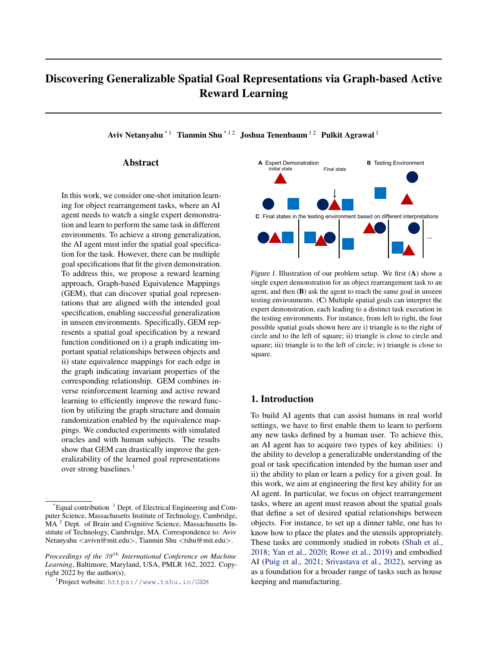| Daniel, C., Viering, M., Metz, J., Kroemer, O., and Peters, JLowe, R., Wu, Y., Tamar, A., Harb, J., Abbeel, P.,<br>Active reward learning. InRobotics: Science and systems<br>volume 98, 2014.                                                 | and Mordatch, I. Multi-agent actor-critic for mixed<br>cooperative-competitive environmentarXiv preprint<br>arXiv:1706.022752017.                                                                                                                                                                                                                 |
|------------------------------------------------------------------------------------------------------------------------------------------------------------------------------------------------------------------------------------------------|---------------------------------------------------------------------------------------------------------------------------------------------------------------------------------------------------------------------------------------------------------------------------------------------------------------------------------------------------|
| Daniel, C., Kroemer, O., Viering, M., Metz, J., and Peters, J.<br>Autonomous Robot \$9(3): 389-405, 2015.                                                                                                                                      | Active reward learning with a novel acquisition function. MacGlashan, J., Ho, M. K., Loftin, R., Peng, B., Wang, G.,<br>Roberts, D. L., Taylor, M. E., and Littman, M. L. Inter-<br>active learning from policy-dependent human feedback.                                                                                                         |
| Duan, Y., Andrychowicz, M., Stadie, B., Jonathan Ho, O.,<br>Schneider, J., Sutskever, I., Abbeel, P., and Zaremba, 2285-2294. PMLR, 2017.<br>W. One-shot imitation learning. IAdvances in neural                                               | In International Conference on Machine Learningp.                                                                                                                                                                                                                                                                                                 |
| information processing system2017.                                                                                                                                                                                                             | Nehaniv, C. L., Dautenhahn, K., et al. The correspondence<br>problem. Imitation in animals and artifacts41, 2002.                                                                                                                                                                                                                                 |
| Finn, C., Yu, T., Zhang, T., Abbeel, P., and Levine, S. One-<br>shot visual imitation learning via meta-learning. Con-<br>ference on Robot Learningp. 357-368. PMLR, 2017.                                                                     | Netanyahu, A., Shu, T., Katz, B., Barbu, A., and Tenenbaum,<br>J. B. Phase: Physically-grounded abstract social events<br>for machine social perception. B5th AAAI Conference                                                                                                                                                                     |
| Fu, J., Luo, K., and Levine, S. Learning robust rewards with<br>adversarial inverse reinforcement learning. Interna-                                                                                                                           | on Arti cial Intelligence (AAAI) 2021.                                                                                                                                                                                                                                                                                                            |
| tional Conference on Learning Representations18.                                                                                                                                                                                               | Ng, A. Y., Russell, S. J., et al. Algorithms for inverse<br>reinforcement learning. Ircml, volume 1, pp. 2, 2000.                                                                                                                                                                                                                                 |
| Ghasemipour, S. K. S., Zemel, R., and Gu, S. A divergence Puig, X., Ra, K., Boben, M., Li, J., Wang, T., Fidler, S.,<br>minimization perspective on imitation learning methods.<br>In Conference on Robot Learningp. 1259-1277. PMLR,<br>2020. | and Torralba, A. Virtualhome: Simulating household<br>activities via programs. IProceedings of the IEEE Con-<br>ference on Computer Vision and Pattern Recognition                                                                                                                                                                                |
| Grif th, S., Subramanian, K., Scholz, J., Isbell, C. L., and<br>back with reinforcement learning. Andvances in neural<br>information processing system2013.                                                                                    | 8494-8502, 2018.<br>Thomaz, A. L. Policy shaping: Integrating human feed-puig, X., Shu, T., Li, S., Wang, Z., Liao, Y.-H., Tenenbaum,<br>J. B., Fidler, S., and Torralba, A. Watch-and-help: A chal-<br>lenge for social perception and humbaig collaboration.                                                                                    |
| Hu, H., Lerer, A., Peysakhovich, A., and Foerster, J. "other-<br>play" for zero-shot coordination. International Con-                                                                                                                          | In International Conference on Learning Representations<br>2021.                                                                                                                                                                                                                                                                                  |
| ference on Machine Learningp. 4399-4410. PMLR,<br>2020.                                                                                                                                                                                        | Reddy, S., Dragan, A., Levine, S., Legg, S., and Leike,<br>J. Learning human objectives by evaluating hypotheti-<br>cal behavior. In nternational Conference on Machine                                                                                                                                                                           |
| Huang, D.-A., Xu, D., Zhu, Y., Garg, A., Savarese, S.,<br>Fei-Fei, L., and Niebles, J. C. Continuous relaxation of                                                                                                                             | Learning pp. 8020-8029. PMLR, 2020.                                                                                                                                                                                                                                                                                                               |
| symbolic planner for one-shot imitation learning.2019<br>IEEE/RSJ International Conference on Intelligent Robots<br>and Systems (IROS)p. 2635-2642. IEEE, 2019.                                                                                | Ross, S., Gordon, G., and Bagnell, D. A reduction of imita-<br>tion learning and structured prediction to no-regret online<br>learning. InProceedings of the fourteenth international                                                                                                                                                             |
| Johnson, J., Hariharan, B., Van Der Maaten, L., Fei-Fei,<br>L., Lawrence Zitnick, C., and Girshick, R. Clevr: A<br>diagnostic dataset for compositional language and ele-                                                                      | conference on arti cial intelligence and statisticpp.<br>627-635. JMLR Workshop and Conference Proceedings,<br>2011.                                                                                                                                                                                                                              |
| mentary visual reasoning. Phroceedings of the IEEE<br>conference on computer vision and pattern recognition<br>pp. 2901-2910, 2017.                                                                                                            | Rowe, R., Singhal, S., Yi, D., Bhattacharjee, T., and Srini-<br>vasa, S. S. Desk organization: Effect of multimodal inputs<br>on spatial relational learning. 12019 28th IEEE Inter-                                                                                                                                                              |
| Kingma, D. P. and Ba, J. Adam: A method for stochastic<br>optimization.arXiv preprint arXiv:1412.69802014.                                                                                                                                     | national Conference on Robot and Human Interactive<br>Communication (RO-MANpp. 1-8. IEEE, 2019.                                                                                                                                                                                                                                                   |
| Loftin, R., MacGlashan, J., Peng, B., Taylor, M., Littman,<br>M., Huang, J., and Roberts, D. A strategy-aware tech-<br>back. InProceedings of the AAAI Conference on Arti cial<br>Intelligence volume 28, 2014.                                | Schaal, S. Is imitation learning the route to humanoid<br>robots?Trends in cognitive science\$(6):233-242, 1999.<br>nique for learning behaviors from discrete human feedShah, A., Kamath, P., Shah, J. A., and Li, S. Bayesian<br>inference of temporal task speci cations from demon-<br>strations. In Bengio, S., Wallach, H., Larochelle, H., |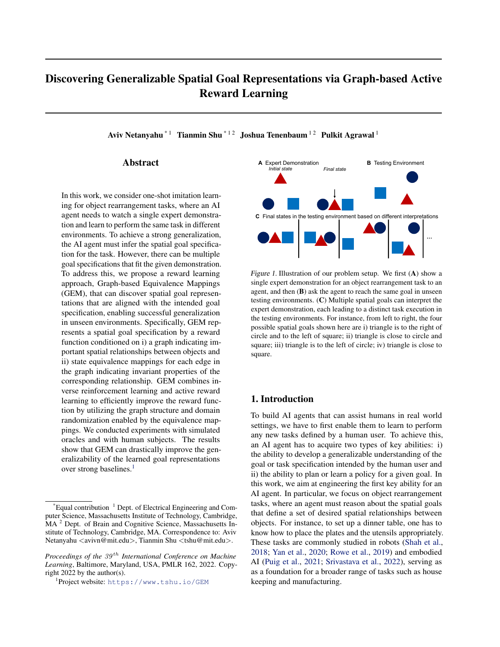Grauman, K., Cesa-Bianchi, N., and Garnett, R. (eds.), Advances in Neural Information Processing Systems 31 , pp. 3804–3813. Curran Associates, Inc., 2018.

- Shimodaira, H. Improving predictive inference under covariate shift by weighting the log-likelihood function. Juniornal of statistical planning and inferenc $\theta$ 0(2):227–244, 2000.
- Srivastava, S., Li, C., Lingelbach, M., MártMartín, R., Xia, F., Vainio, K. E., Lian, Z., Gokmen, C., Buch, S., Liu, K., et al. Behavior: Benchmark for everyday household activities in virtual, interactive, and ecological environments. InConference on Robot Learning p. 477–490. PMLR, 2022.
- Su, P.-H., Gasic, M., Mrksic, N., Rojas-Barahona, L., Ultes, S., Vandyke, D., Wen, T.-H., and Young, S. On-line active reward learning for policy optimisation in spoken dialogue systemsarXiv preprint arXiv:1605.07669 2016.
- Sun, J., Yu, L., Dong, P., Lu, B., and Zhou, B. Adversarial inverse reinforcement learning with self-attention dynamics model.IEEE Robotics and Automation Lette $\mathfrak{B}(2)$ : 1880–1886, 2021.
- Tobin, J., Fong, R., Ray, A., Schneider, J., Zaremba, W., and Abbeel, P. Domain randomization for transferring deep neural networks from simulation to the real world. In 2017 IEEE/RSJ international conference on intelligent robots and systems (IRQ\$p. 23–30. IEEE, 2017.
- Wang, S., Toyer, S., Gleave, A., and Emmons, S. The imitation library for imitation learning and inverse reinforcement learning. https://github.com/ HumanCompatibleAI/imitation, 2020.
- Wang, X., Lee, K., Hakhamaneshi, K., Abbeel, P., and Laskin, M. Skill preferences: Learning to extract and execute robotic skills from human feedback. Conference on Robot Learningpp. 1259–1268. PMLR, 2022.
- Xu, K., Ratner, E., Dragan, A., Levine, S., and Finn, C. Learning a prior over intent via meta-inverse reinforcement learning. Innternational Conference on Machine Learning, pp. 6952–6962. PMLR, 2019.
- Yan, F., Wang, D., and He, H. Robotic understanding of spatial relationships using neural-logic learning 2020 IEEE/RSJ International Conference on Intelligent Robots and Systems (IROS)p. 8358–8365. IEEE, 2020.
- Yu, T., Finn, C., Xie, A., Dasari, S., Zhang, T., Abbeel, P., and Levine, S. One-shot imitation from observing humans via domain-adaptive meta-learning. Yiv preprint arXiv:1802.015572018.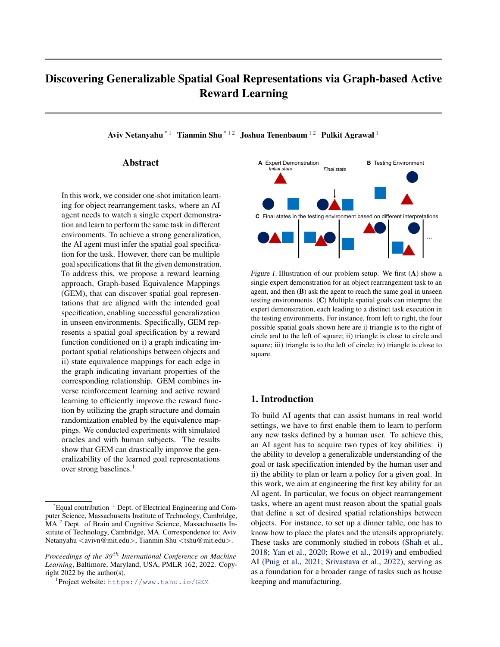# A. Implementation Details

# A.1. State Equivalence Mappings

Applying a mapping to an edge onceWhen applying a mapping to an edge, we randomly sample a variable necessary for the mapping. For the the rotation-invariant mapping  $(x_1; x_2)$ , we sample a random angle Uniform( ; ), and rotatei around by the angle of d. For the scale-invariant mapping, we randomly sample a scale Uniform(0:1; 10:0), and move so that its distance from changes by the scale of while the relative orientation from to j remains the same.

State transformation given all mappings. For each graph, there is a corresponding mapping assignment for all edges  $I = f_{ijk} g_{(ij)2E:k2K}$ . We apply a mapping<sub>k</sub> to edge(i; j) when and only when<sub>ik</sub> = 1. If multiple mappings are assigned to an edge, they will be applied recursively. E.g., and  $_2$  are assigned t $($ i; j), the nal state transformation for this edge is  $_2($   $_1$ (x<sub>i</sub>;x<sub>j</sub>)). Let $\bf{x}_{ij}$  be the transformed edge, then the -nal transformed statessl ) = f $\bf{x}_{ij}$  g<sub>(i;j-)2E</sub>, and the corresponding reward becomes:

$$
R((s;1)jG) = \frac{1}{jEj} \bigg|_{(i;j)2E}^{X} r(\mathbf{x}_{ij}): \tag{9}
$$

Note that since the state transformations are applied to each edge independently, any change in one edge will not affect other edges. During reward netuning, we apply state transformation based on the proposed mapping assignment to each batch, so that the trained reward function re ects the intended invariance represented in the assigned equivalence mappings for each edge.

Additionally, we assume that the absolute coordinates of the objects do not matter in the goal speci cations. Therefore, we also apply a random shift to all objects' coordinates after applying the state equivalence mappings (i.e., moving all objects together without changing their relative positions).

# A.2. Proposal Sampling

Each proposal consists of a new graph and a new equivalence mapping assignment. Therefore, there are two general types of proposal sampling – (1) graph sampling and (2) equivalence mapping assignment sampling. We use a prior probability  $q_{\text{type}}$  to decide the type of sampling for each iteration. At each iteration, we rst sample Iniform(0; 1). If u < q<sub>type</sub>, we choose to sample a new equivalence mapping assignment; otherwise, we sample a new graph. For 3-object tasks, we use  $q_{\text{type}} = 0:2$ ; for 4-object tasks, we use<sub>vpe</sub> = 0:5.

To sample a new graph, we can either add an edge or remove an edge. We de ne the chance of removing **an Roge** as Then we sampl**e** Uniform(0; 1). Whenu < q<sub>remove</sub> we sample one of the edges fr**och**  $^1$  to remove; otherwise, we randomly add an edge that does not exissin<sup>1</sup>. Note that we consider undirected graphs in this work; we also avoid removing all edges to ensure a valid graph-based reward function. For all tasks,  $\omega_{\theta}$ , use 0:5.

To sample a new equivalence mapping assignment, we uniformly sample a(i;  $\phi$ d)  $\&$  E and a type of mapping 2 K, and change the corresponding assignment,  ${}^{0}_{ij}$ e. = 1  ${}^{1}_{ij}$ k i 1<br>ijk ·

# A.3. Network Architecture

The discriminator reward and value networks are implemented by a graph-based architecture, as opposed to the MLP architecture used in the original AIRL version. The input is the observation representation graphG. We construct edge representations by concatenating every pair of object representations in the observation. We then apply 4 x (fully connected layers + ReLU) to each edge representation. We apply a nal fully connected layer to each edge embedding to output a single value for each edge. The nal reward is the average edge valutor edges inG.

# A.4. Training Details and Hyperparameters

Model-based state-based AIRL: We build upon an AIRL implementation (Wang et al., 2020) and add a model-based generator. For each task, M-AIRL is executed for 500k generator steps, the expert batch size is the length of the expert demonstrations. For the model-based policy, we set  $0:3$  in Eq. (4). The discriminator is updated for 4 steps after every model-based generator execution. The model based generator samples approximately 2k steps on each iteration.

Query reward netuning : We apply 5k network updates per query iteration. For optimizing the network, we use Adam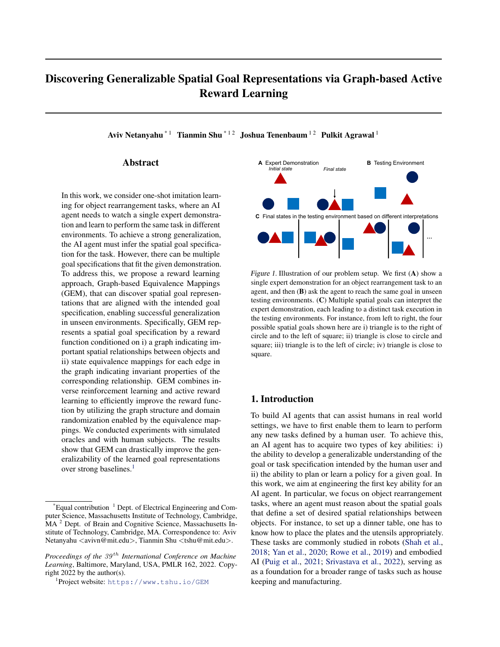Figure 7.Illustration of all 9 Watch&Move tasks. For each task, we show the demonstration, the testing environment, and the goal de nition. We also show the goal relationships by visualizing the corresponding edges.

optimizer (Kingma & Ba, 2014) with a learning rate of 0.0003. For each update, we sample a batch of 16 states for the regression loss and a batch of 16 pairs of positive and negative states for the reward ranking loss.

Query selection we set  $= 0:2$  in Eq 8.

Random query variant: we always assume a fully connected graph and do not assign equivalence mappings to the edges. We collect the positive and negative sets and re ne the reward function using the same loss function de ned in Eq. (7).

### A.5. Sampling Goal States in Testing

During testing, we sample a goal stase, =  $(x_i)_{i \ge N}$ , by jointly maximizing the learned reward and minimizing the displacement. I.e.,

s = arg max R(s; G) 
$$
\underset{i \ge N}{X}
$$
  $jj x_i^0$   $x_i j j_2$ : (10)

For the experiments using the simulated oracle, we use the reward corresponding to the sparsest graph accepted that has been accepted up until the current iteration. For the human experiments, we directly use the reward accepted at each iteration so that the results are more resilient to the noise in participants' responses.

Since this work focuses on learning goals, we directly evaluate feasible sampled goal states in the experiments. However, it is also possible to evaluate an episode using a planner to reach the sampled goal states.

#### A.6. Watch&Move Environment

Figure 7 illustrates the setup (the expert demonstration, the test environment, and the goal description) for each Watch&Move task. The demonstrations of these tasks present various sources of confusion. For instance, there can be irrelevant objects (e.g.,the purple trapezoid and the red circle in Task 8) or goal objects that are never moved in the demonstration due to their initial states being satisfactory (e.g., the blue trapezoid and the blue rectangle in Task 3). Expert demonstrations were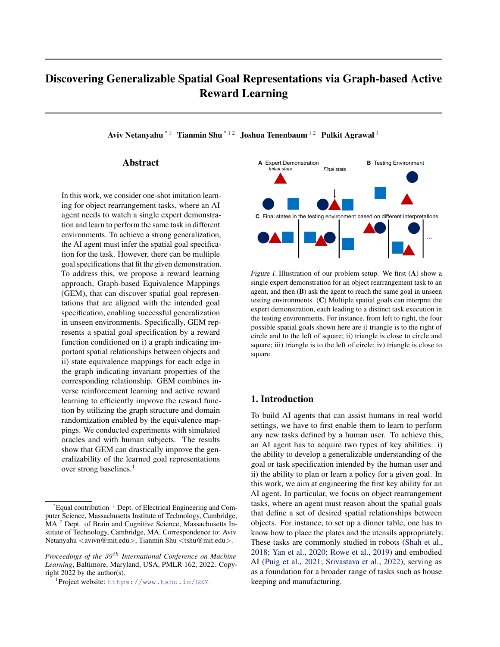<span id="page-13-1"></span>

| PAIRWISE GOAL RELATIONSHIP                              | <b>DEFINITION</b>                                      |
|---------------------------------------------------------|--------------------------------------------------------|
| CLOSE $[(SRIVASTAVA ET AL., 2022)]$                     | OBJECTS DISTANCE $< 2.5$ UNITS                         |
| LEFT/RIGHT $[(JOHNSON ET AL., 2017; YAN ET AL., 2020)]$ | ANGLE BETWEEN OBJECTS AND X AXIS $< 0.1\pi$            |
| ABOVE/BELOW [(YAN ET AL., 2020)]                        | $0.4\pi$ < ANGLE BETWEEN OBJECTS AND Y AXIS < $0.6\pi$ |
| DIAGONAL                                                | BOTH COORDINATES OF ONE OBJECT $>$ OTHER'S             |
| DISTANCE X                                              | OBJECTS DISTANCE WITHIN 0.5 UNIT BUFFER AROUND X       |
| AT LEAST WITHIN DISTANCE X                              | <b>OBJECTS DISTANCE <math>&gt; X</math></b>            |

Table 1. Definition of goal relationships in Watch&Move tasks. For reference, the radius of a circle is 0.8 units.

created with a planner introduced in (Netanyahu et al., 2021), with a length ranging from 8 to 35 steps.

The state space in Watch&Move is represented by  $S \, Z \, \mathbb{R}^{N-13}$  where N is the number of objects in the environment. 13 dimensions are composed of the coordinate of the object center, the object's angle, and one hot encodings of the object shape and color. The action space is discrete, containing 11 possible actions per object (8 directions, turning right and left and stopping), and the object id. The action space is proportional to the number of objects. We use  $PyBox2D<sup>3</sup>$  $PyBox2D<sup>3</sup>$  $PyBox2D<sup>3</sup>$  to simulate the physical dynamics in the environment.

The goal relationships used to create Watch&Move are specified in Table [1.](#page-13-1) These could be easily extended to any pairwise spatial relation, such as touching, covering, no contact, orientation, etc.

# A.7. ReQueST

ReQueST (Reddy et al., 2020) is a method for estimating a reward ensemble that can safely generalize to environments with different initial state distributions. ReQueST generates queries from a generative model that optimizes four objectives. Each state in each query receives accepted or rejected feedback from an oracle and is used as a positive or negative example in reward training. To ensure a fair comparison with our approach, we implement ReQueST with the following changes.

- The original method does not use an expert demonstration, therefore we pre-train the ensemble reward functions with the expert demonstration.
- The reward architecture is similar to ours, where the final edge embeddings are sum-pooled and fed to a fully connected layer followed by softmax for the classification. Note that here we only have two classes – neutral and good.
- The original paper learns a world model from random sampling in the environment. We use the ground truth world model provided by the physics simulation, similar to GEM.
- Each query is of length 1 (as in the pointmass environment in ReQueST) sampled similarly to the AIRL generator sampling in GEM. Starting from the final state of the expert demonstrations, each query is sampled relative to the last sampled point, matching with the query generation procedure in GEM.

We use an ensemble of 4 rewards (as in the pointmass environment in ReQueST), and train them using the Adam optimizer with a learning rate of 0.0003. We have 1k pre-training steps and 10 training steps per every 4 queries.

# B. Additional Results

## B.1. Evaluation in a Real World Task

To show the connection between Watch&Move tasks and real world tasks, we use VirtualHome (Puig et al., 2018; 2021), a realistic virtual household simulation platform, to instantiate Task 5 in a real work setting – setting up a desk for a left-handed person, i.e., a book in the front of a notepad and a pen on the left of and close to the notepad. In Figure [8,](#page-14-0) we show the reward trained by GEM on the original Task 5 can also achieve success in this real-world task which shares the same ground-truth goal with Task 5 but requires the rearrangement of real world objects.

<span id="page-13-0"></span><sup>3</sup> https://github.com/pybox2d/pybox2d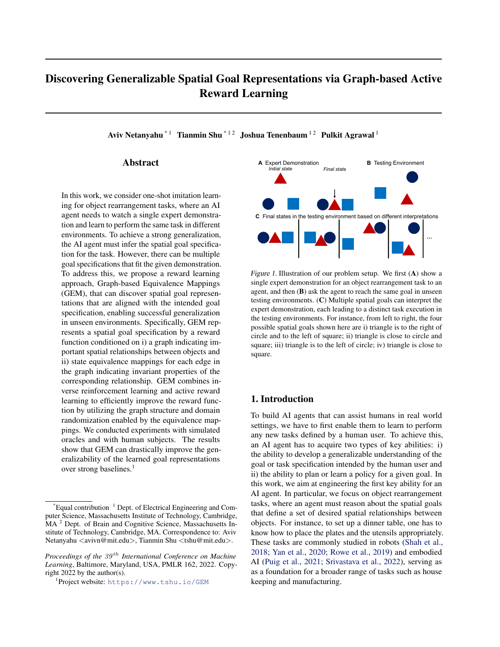

Initial State of the Testing Environment A Sampled Goal State Using the Learned Reward



<span id="page-14-0"></span>Figure 8. A real world task simulated in VirtualHome that has the same goal specification as Task 5. Specifically, the task is to set up a desk for a left-handed person to take notes while reading a book. We visualize the testing environment and the sampled goal state for this real world task using the reward function learned by GEM for Task 5. The sampled goal state satisfies the true goal specification while minimizing the displacement of the objects.



<span id="page-14-1"></span>Figure 9. Illustration of the inferred graphs and equivalence mapping assignments as well as the corresponding query states that lead the proposal acceptance for all 9 tasks (from one of the three runs). The colors of the edges indicate the assigned mappings. Black: no mapping is assigned; red: the rotation-invariant mapping is assigned; blue: the scale-invariant mapping is assigned; purple: both the rotation-invariant and the scale invariant mappings are assigned.

### B.2. Learning Results

We show the inferred graphs and the equivalence mapping assignments for all 9 tasks in Figure [9.](#page-14-1) The inferred graphs correctly identified the goal relationships. The assigned equivalence mappings also revealed the invariance properties of the intended spatial relationships in most cases.

Figure [10](#page-15-0) depicts typical queries that are sampled by GEM to verify the proposed graphs and the equivalence mapping assignment. The examples here demonstrate how the informative queries were able to help differentiate two different reward functions.

#### B.3. Qualitative Results

Figure [11](#page-15-1) shows the sampled goal states using the reward functions learned by GEM. These goal states not only satisfy the goal specifications, but are also efficient (small displacement compared to the initial states in the testing environments). This demonstrates that the sampled goal states are not simply copying the final state of the expert demonstration but indeed reflect the intended spatial relationships.